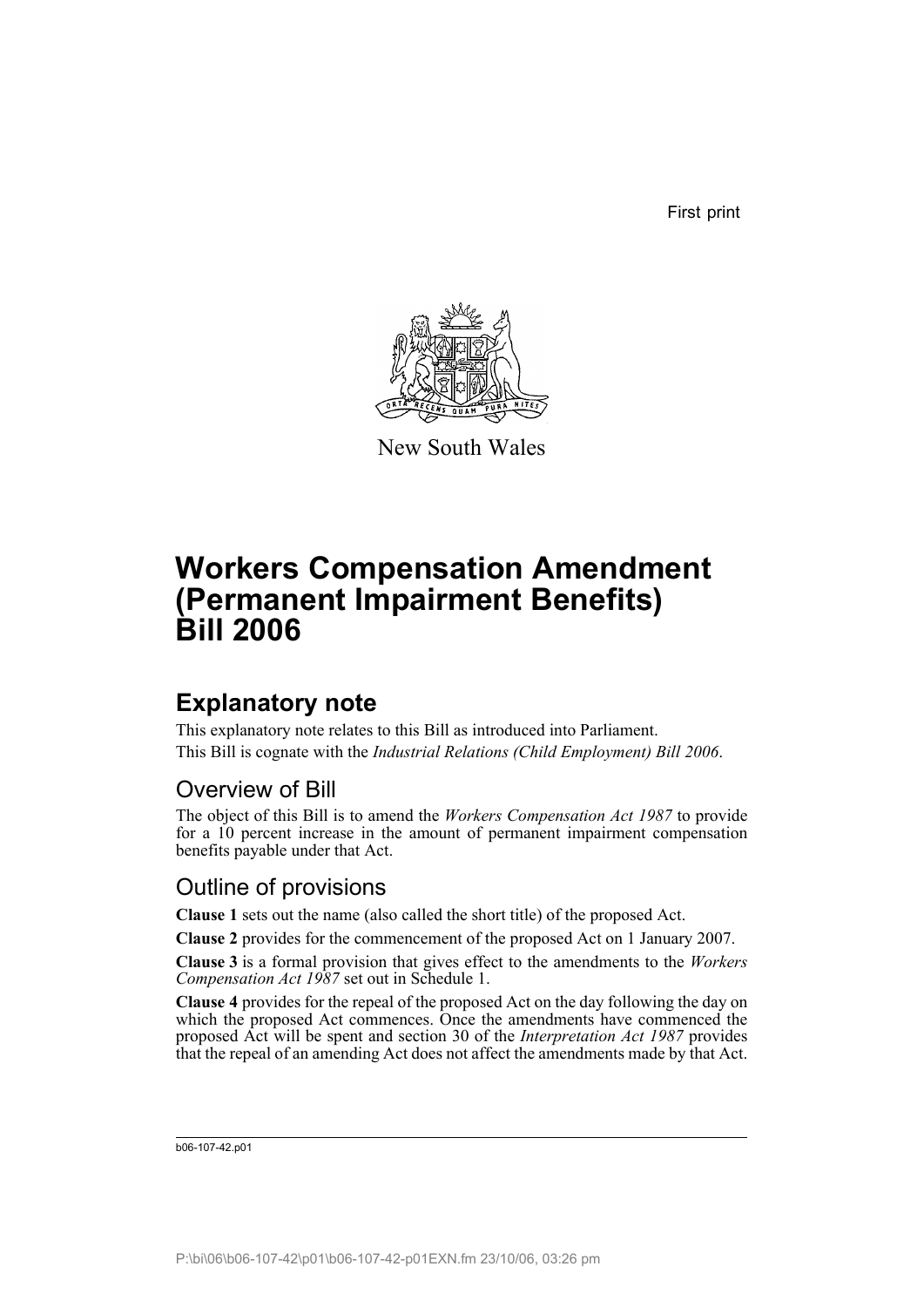First print



New South Wales

# **Workers Compensation Amendment (Permanent Impairment Benefits) Bill 2006**

## **Explanatory note**

This explanatory note relates to this Bill as introduced into Parliament. This Bill is cognate with the *Industrial Relations (Child Employment) Bill 2006*.

### Overview of Bill

The object of this Bill is to amend the *Workers Compensation Act 1987* to provide for a 10 percent increase in the amount of permanent impairment compensation benefits payable under that Act.

### Outline of provisions

**Clause 1** sets out the name (also called the short title) of the proposed Act.

**Clause 2** provides for the commencement of the proposed Act on 1 January 2007.

**Clause 3** is a formal provision that gives effect to the amendments to the *Workers Compensation Act 1987* set out in Schedule 1.

**Clause 4** provides for the repeal of the proposed Act on the day following the day on which the proposed Act commences. Once the amendments have commenced the proposed Act will be spent and section 30 of the *Interpretation Act 1987* provides that the repeal of an amending Act does not affect the amendments made by that Act.

b06-107-42.p01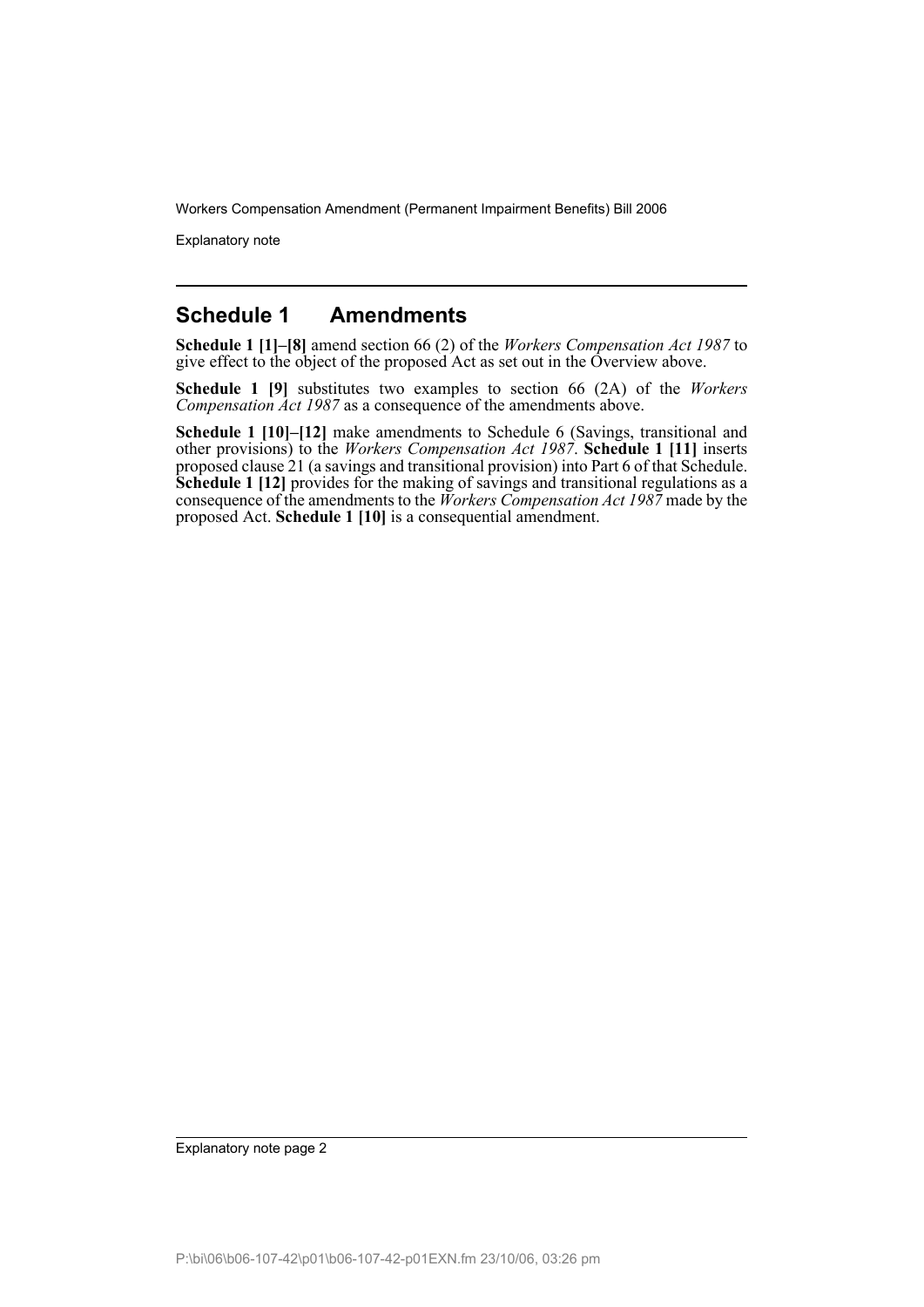Explanatory note

#### **Schedule 1 Amendments**

**Schedule 1 [1]–[8]** amend section 66 (2) of the *Workers Compensation Act 1987* to give effect to the object of the proposed Act as set out in the Overview above.

**Schedule 1 [9]** substitutes two examples to section 66 (2A) of the *Workers Compensation Act 1987* as a consequence of the amendments above.

**Schedule 1 [10]–[12]** make amendments to Schedule 6 (Savings, transitional and other provisions) to the *Workers Compensation Act 1987*. **Schedule 1 [11]** inserts proposed clause 21 (a savings and transitional provision) into Part 6 of that Schedule. **Schedule 1 [12]** provides for the making of savings and transitional regulations as a consequence of the amendments to the *Workers Compensation Act 1987* made by the proposed Act. **Schedule 1 [10]** is a consequential amendment.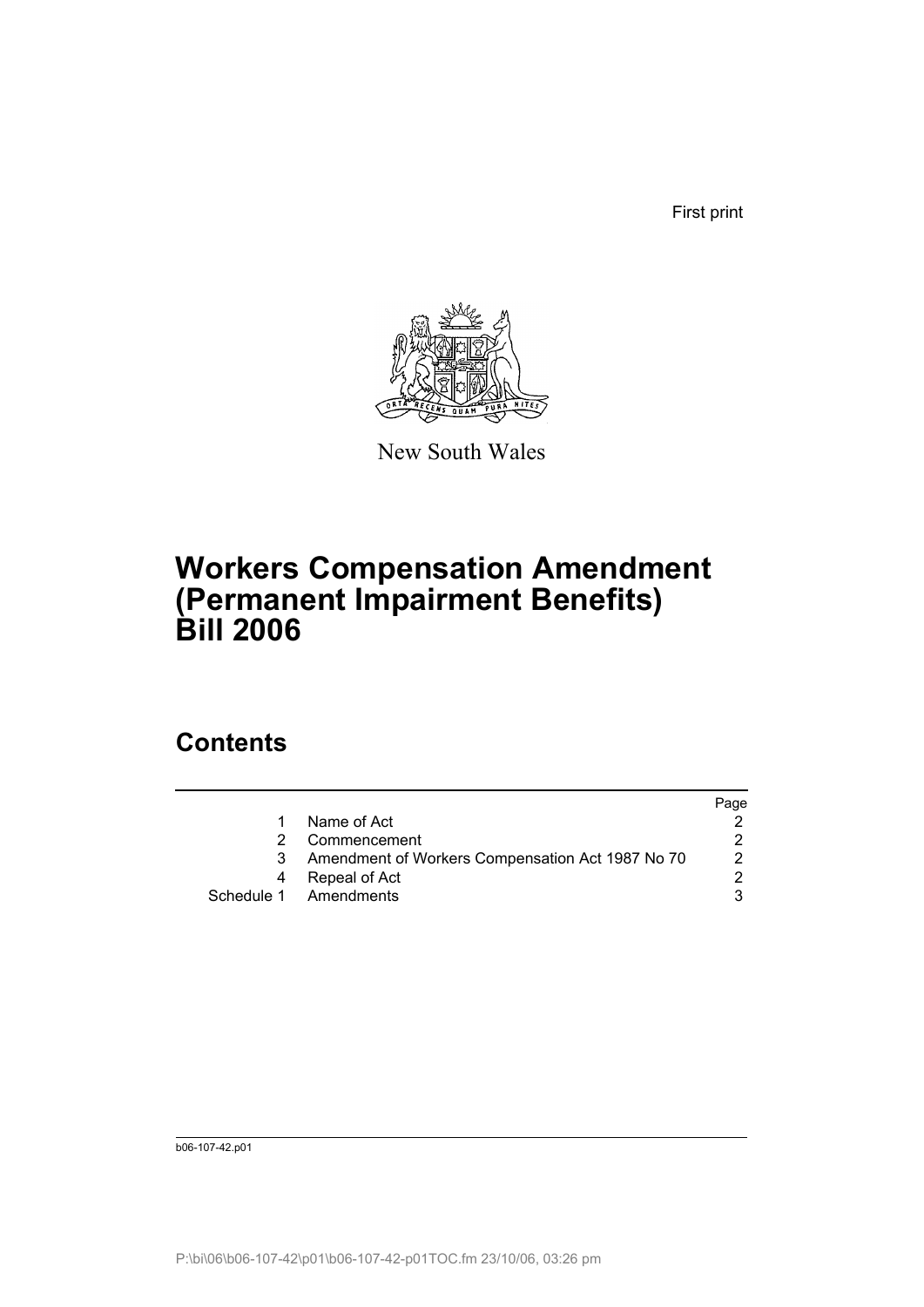First print



New South Wales

## **Workers Compensation Amendment (Permanent Impairment Benefits) Bill 2006**

### **Contents**

|                                                  | Page |
|--------------------------------------------------|------|
| Name of Act                                      |      |
| Commencement                                     |      |
| Amendment of Workers Compensation Act 1987 No 70 | 2    |
| Repeal of Act                                    |      |
| Schedule 1 Amendments                            |      |
|                                                  |      |

b06-107-42.p01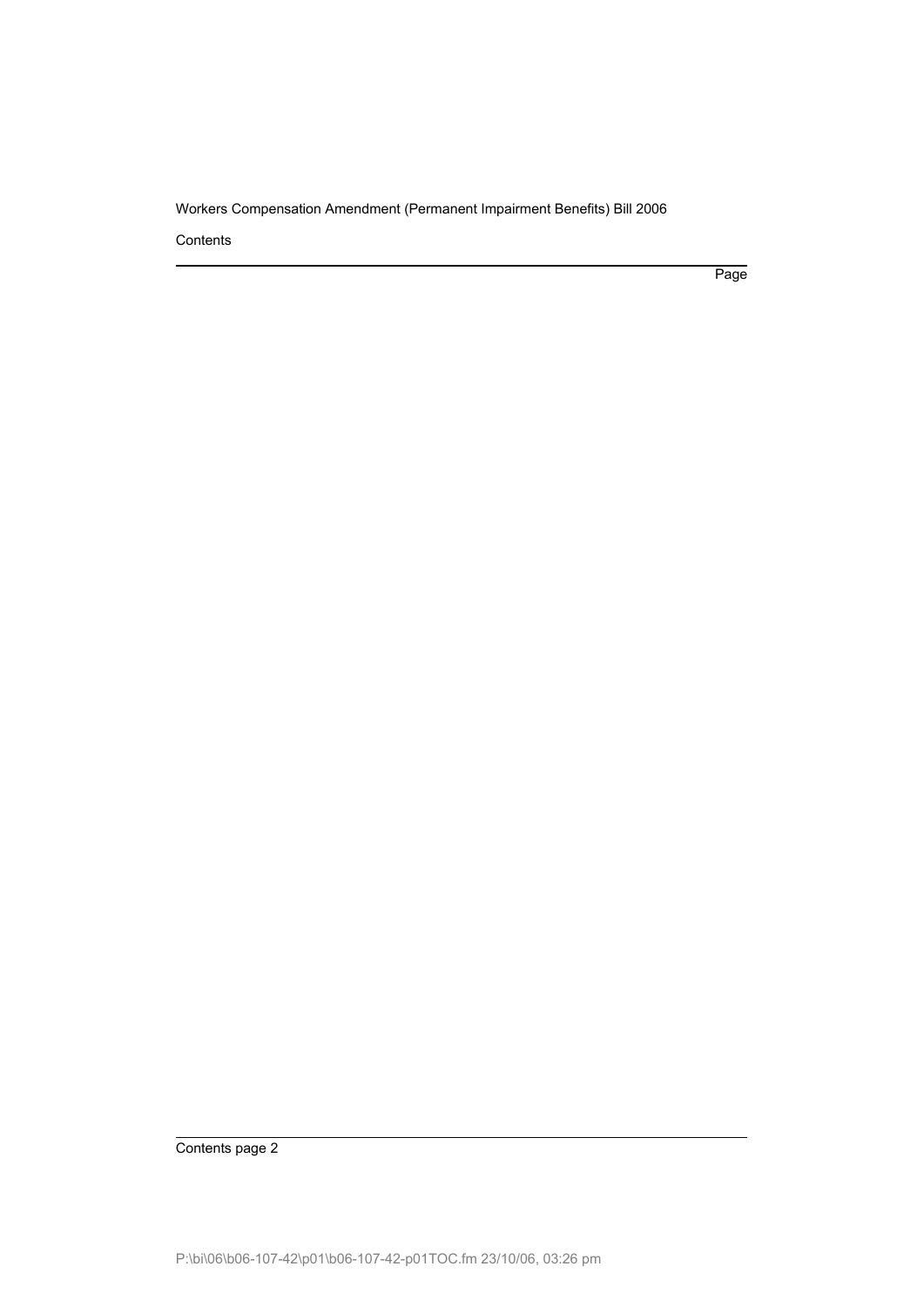**Contents** 

Page

Contents page 2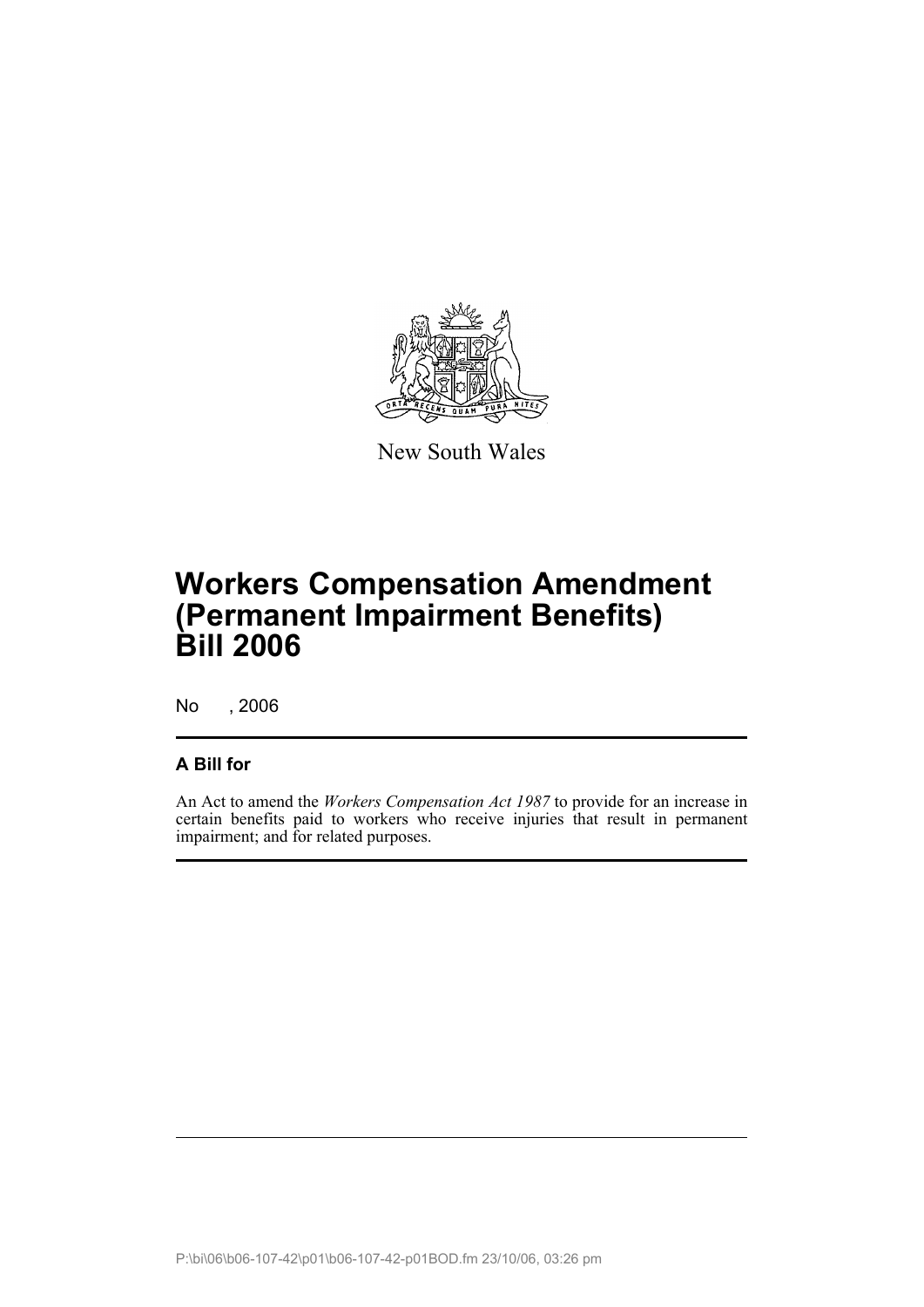

New South Wales

# **Workers Compensation Amendment (Permanent Impairment Benefits) Bill 2006**

No , 2006

#### **A Bill for**

An Act to amend the *Workers Compensation Act 1987* to provide for an increase in certain benefits paid to workers who receive injuries that result in permanent impairment; and for related purposes.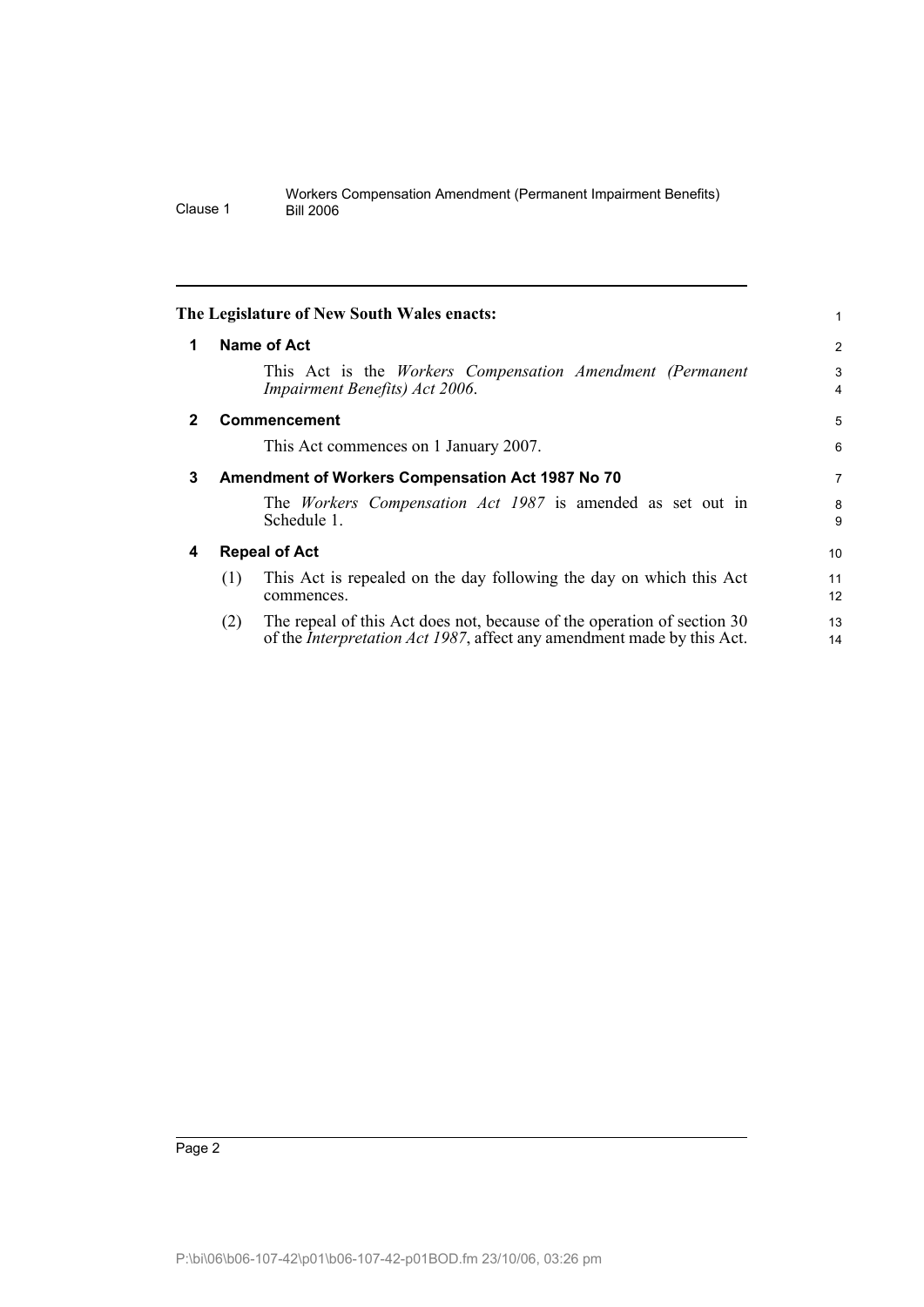<span id="page-5-3"></span><span id="page-5-2"></span><span id="page-5-1"></span><span id="page-5-0"></span>

|   | The Legislature of New South Wales enacts:                                                                                                                       |                |
|---|------------------------------------------------------------------------------------------------------------------------------------------------------------------|----------------|
| 1 | Name of Act                                                                                                                                                      | $\overline{2}$ |
|   | This Act is the <i>Workers</i> Compensation Amendment (Permanent<br>Impairment Benefits) Act 2006.                                                               | 3<br>4         |
| 2 | Commencement                                                                                                                                                     | 5              |
|   | This Act commences on 1 January 2007.                                                                                                                            | 6              |
| 3 | Amendment of Workers Compensation Act 1987 No 70                                                                                                                 |                |
|   | The <i>Workers</i> Compensation Act 1987 is amended as set out in<br>Schedule 1.                                                                                 | 8<br>9         |
| 4 | <b>Repeal of Act</b>                                                                                                                                             | 10             |
|   | This Act is repealed on the day following the day on which this Act<br>(1)<br>commences.                                                                         | 11<br>12       |
|   | The repeal of this Act does not, because of the operation of section 30<br>(2)<br>of the <i>Interpretation Act 1987</i> , affect any amendment made by this Act. | 13<br>14       |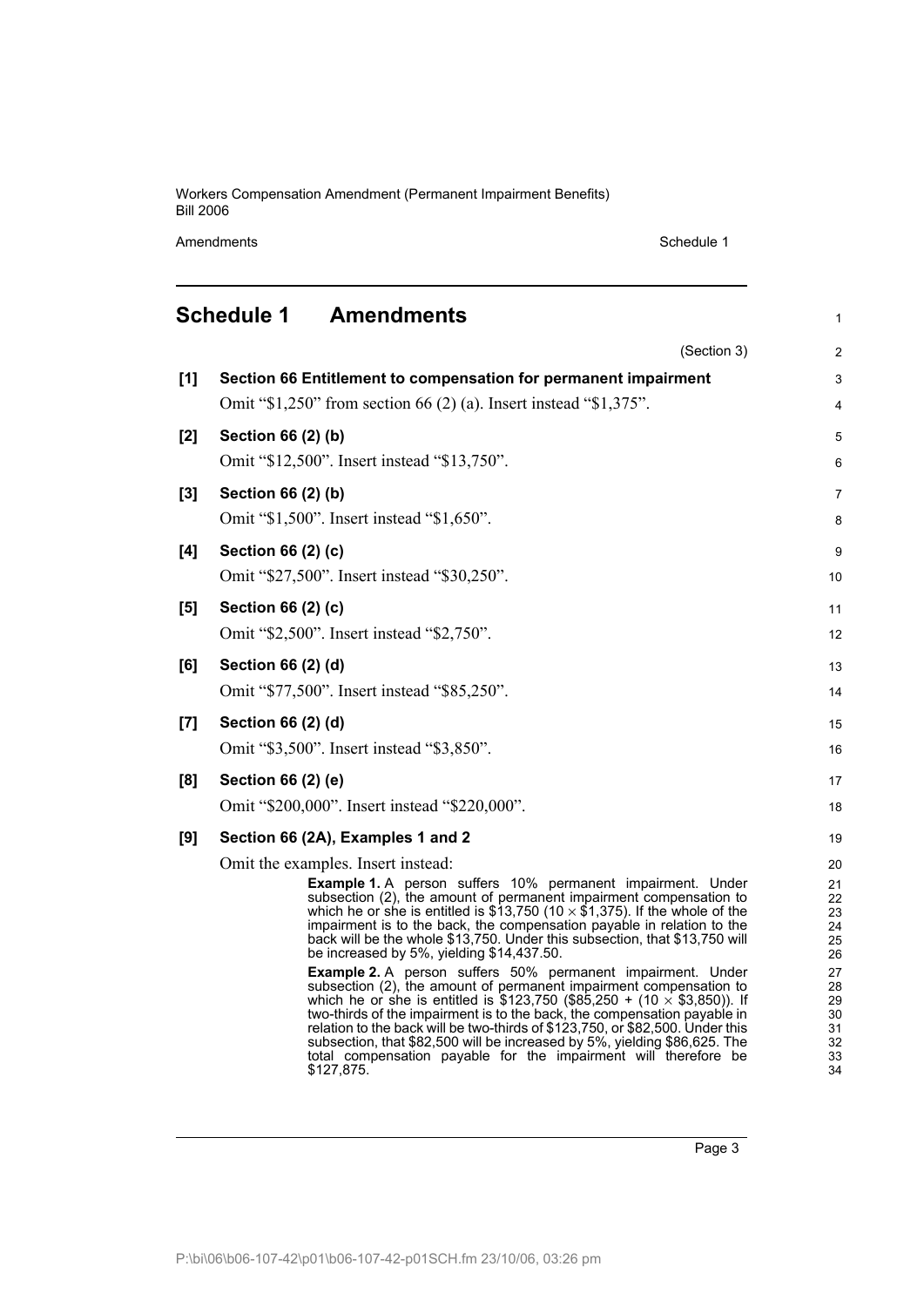Amendments Schedule 1

<span id="page-6-0"></span>

|       | <b>Schedule 1</b><br><b>Amendments</b>                                                                                                                    | 1              |  |  |
|-------|-----------------------------------------------------------------------------------------------------------------------------------------------------------|----------------|--|--|
|       | (Section 3)                                                                                                                                               | $\overline{c}$ |  |  |
| [1]   | Section 66 Entitlement to compensation for permanent impairment                                                                                           | 3              |  |  |
|       | Omit "\$1,250" from section 66 (2) (a). Insert instead "\$1,375".                                                                                         | 4              |  |  |
| [2]   | Section 66 (2) (b)                                                                                                                                        | 5              |  |  |
|       | Omit "\$12,500". Insert instead "\$13,750".                                                                                                               | 6              |  |  |
| $[3]$ | Section 66 (2) (b)                                                                                                                                        | $\overline{7}$ |  |  |
|       | Omit "\$1,500". Insert instead "\$1,650".                                                                                                                 | 8              |  |  |
| [4]   | Section 66 (2) (c)                                                                                                                                        | 9              |  |  |
|       | Omit "\$27,500". Insert instead "\$30,250".                                                                                                               | 10             |  |  |
| [5]   | Section 66 (2) (c)                                                                                                                                        | 11             |  |  |
|       | Omit "\$2,500". Insert instead "\$2,750".                                                                                                                 | 12             |  |  |
| [6]   | Section 66 (2) (d)                                                                                                                                        | 13             |  |  |
|       | Omit "\$77,500". Insert instead "\$85,250".                                                                                                               | 14             |  |  |
| [7]   | Section 66 (2) (d)                                                                                                                                        | 15             |  |  |
|       | Omit "\$3,500". Insert instead "\$3,850".                                                                                                                 | 16             |  |  |
| [8]   | Section 66 (2) (e)                                                                                                                                        | 17             |  |  |
|       | Omit "\$200,000". Insert instead "\$220,000".                                                                                                             | 18             |  |  |
| [9]   | Section 66 (2A), Examples 1 and 2                                                                                                                         | 19             |  |  |
|       | Omit the examples. Insert instead:                                                                                                                        |                |  |  |
|       | Example 1. A person suffers 10% permanent impairment. Under<br>subsection (2), the amount of permanent impairment compensation to                         | 21             |  |  |
|       | which he or she is entitled is \$13,750 (10 $\times$ \$1,375). If the whole of the                                                                        | 22<br>23       |  |  |
|       | impairment is to the back, the compensation payable in relation to the<br>back will be the whole \$13,750. Under this subsection, that \$13,750 will      | 24<br>25       |  |  |
|       | be increased by 5%, yielding \$14,437.50.                                                                                                                 | 26             |  |  |
|       | <b>Example 2.</b> A person suffers 50% permanent impairment. Under<br>subsection (2), the amount of permanent impairment compensation to                  | 27<br>28       |  |  |
|       | which he or she is entitled is \$123,750 (\$85,250 + $(10 \times $3,850)$ ). If                                                                           | 29             |  |  |
|       | two-thirds of the impairment is to the back, the compensation payable in<br>relation to the back will be two-thirds of \$123,750, or \$82,500. Under this | 30<br>31       |  |  |
|       | subsection, that \$82,500 will be increased by 5%, yielding \$86,625. The<br>total compensation payable for the impairment will therefore be              | 32             |  |  |
|       | \$127,875.                                                                                                                                                | 33<br>34       |  |  |

Page 3